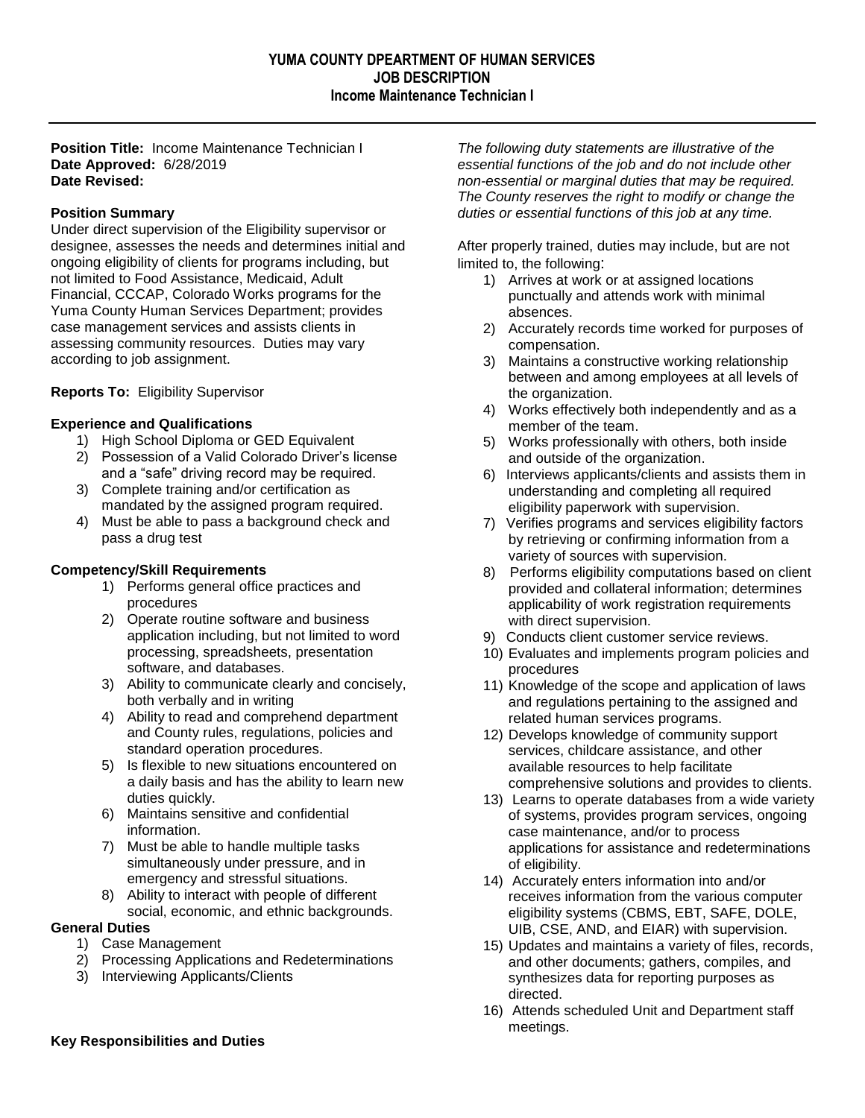**Position Title:** Income Maintenance Technician I **Date Approved:** 6/28/2019 **Date Revised:**

# **Position Summary**

Under direct supervision of the Eligibility supervisor or designee, assesses the needs and determines initial and ongoing eligibility of clients for programs including, but not limited to Food Assistance, Medicaid, Adult Financial, CCCAP, Colorado Works programs for the Yuma County Human Services Department; provides case management services and assists clients in assessing community resources. Duties may vary according to job assignment.

# **Reports To:** Eligibility Supervisor

# **Experience and Qualifications**

- 1) High School Diploma or GED Equivalent
- 2) Possession of a Valid Colorado Driver's license and a "safe" driving record may be required.
- 3) Complete training and/or certification as mandated by the assigned program required.
- 4) Must be able to pass a background check and pass a drug test

# **Competency/Skill Requirements**

- 1) Performs general office practices and procedures
- 2) Operate routine software and business application including, but not limited to word processing, spreadsheets, presentation software, and databases.
- 3) Ability to communicate clearly and concisely, both verbally and in writing
- 4) Ability to read and comprehend department and County rules, regulations, policies and standard operation procedures.
- 5) Is flexible to new situations encountered on a daily basis and has the ability to learn new duties quickly.
- 6) Maintains sensitive and confidential information.
- 7) Must be able to handle multiple tasks simultaneously under pressure, and in emergency and stressful situations.
- 8) Ability to interact with people of different social, economic, and ethnic backgrounds.

### **General Duties**

- 1) Case Management
- 2) Processing Applications and Redeterminations
- 3) Interviewing Applicants/Clients

*The following duty statements are illustrative of the essential functions of the job and do not include other non-essential or marginal duties that may be required. The County reserves the right to modify or change the duties or essential functions of this job at any time.*

After properly trained, duties may include, but are not limited to, the following:

- 1) Arrives at work or at assigned locations punctually and attends work with minimal absences.
- 2) Accurately records time worked for purposes of compensation.
- 3) Maintains a constructive working relationship between and among employees at all levels of the organization.
- 4) Works effectively both independently and as a member of the team.
- 5) Works professionally with others, both inside and outside of the organization.
- 6) Interviews applicants/clients and assists them in understanding and completing all required eligibility paperwork with supervision.
- 7) Verifies programs and services eligibility factors by retrieving or confirming information from a variety of sources with supervision.
- 8) Performs eligibility computations based on client provided and collateral information; determines applicability of work registration requirements with direct supervision.
- 9) Conducts client customer service reviews.
- 10) Evaluates and implements program policies and procedures
- 11) Knowledge of the scope and application of laws and regulations pertaining to the assigned and related human services programs.
- 12) Develops knowledge of community support services, childcare assistance, and other available resources to help facilitate comprehensive solutions and provides to clients.
- 13) Learns to operate databases from a wide variety of systems, provides program services, ongoing case maintenance, and/or to process applications for assistance and redeterminations of eligibility.
- 14) Accurately enters information into and/or receives information from the various computer eligibility systems (CBMS, EBT, SAFE, DOLE, UIB, CSE, AND, and EIAR) with supervision.
- 15) Updates and maintains a variety of files, records, and other documents; gathers, compiles, and synthesizes data for reporting purposes as directed.
- 16) Attends scheduled Unit and Department staff meetings.

# **Key Responsibilities and Duties**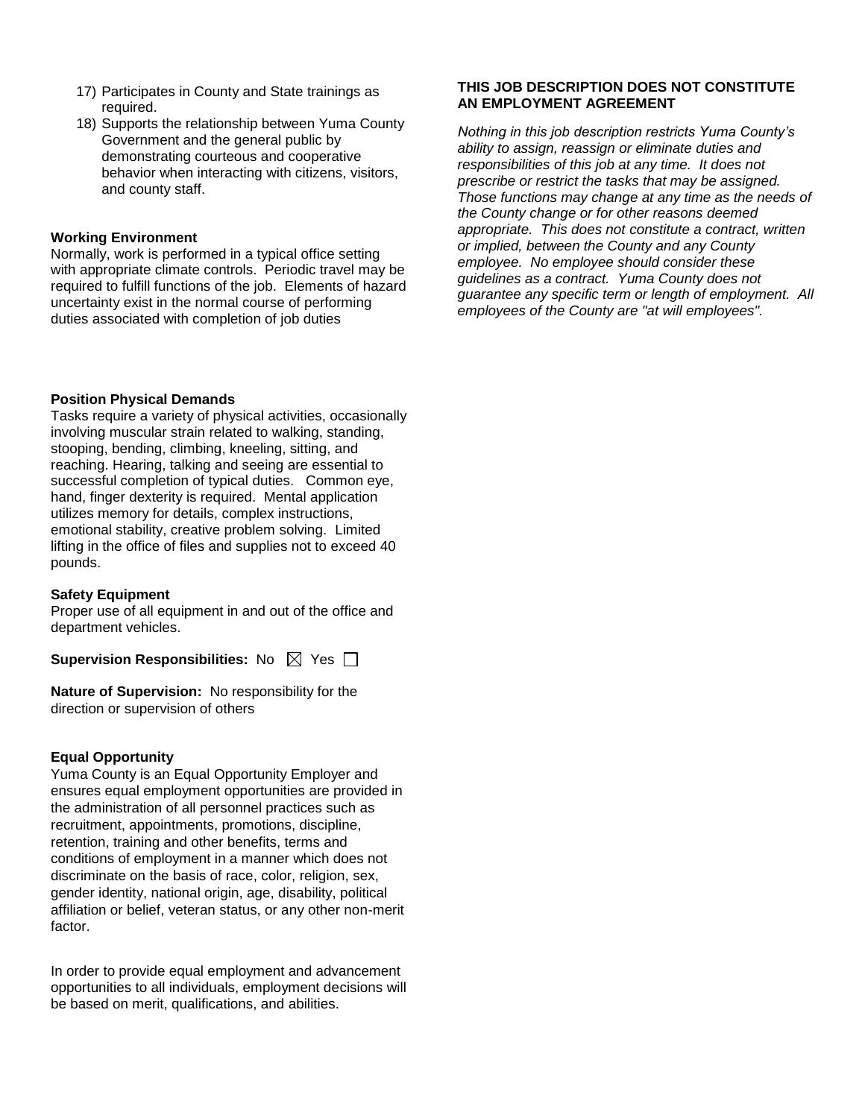- 17) Participates in County and State trainings as required.
- 18) Supports the relationship between Yuma County Government and the general public by demonstrating courteous and cooperative behavior when interacting with citizens, visitors, and county staff.

#### **Working Environment**

Normally, work is performed in a typical office setting with appropriate climate controls. Periodic travel may be required to fulfill functions of the job. Elements of hazard uncertainty exist in the normal course of performing duties associated with completion of job duties

#### **Position Physical Demands**

Tasks require a variety of physical activities, occasionally involving muscular strain related to walking, standing, stooping, bending, climbing, kneeling, sitting, and reaching. Hearing, talking and seeing are essential to successful completion of typical duties. Common eye, hand, finger dexterity is required. Mental application utilizes memory for details, complex instructions, emotional stability, creative problem solving. Limited lifting in the office of files and supplies not to exceed 40 pounds.

#### **Safety Equipment**

Proper use of all equipment in and out of the office and department vehicles.

**Supervision Responsibilities:** No  $\boxtimes$  Yes  $\Box$ 

**Nature of Supervision:** No responsibility for the direction or supervision of others

### **Equal Opportunity**

Yuma County is an Equal Opportunity Employer and ensures equal employment opportunities are provided in the administration of all personnel practices such as recruitment, appointments, promotions, discipline, retention, training and other benefits, terms and conditions of employment in a manner which does not discriminate on the basis of race, color, religion, sex, gender identity, national origin, age, disability, political affiliation or belief, veteran status, or any other non-merit factor.

In order to provide equal employment and advancement opportunities to all individuals, employment decisions will be based on merit, qualifications, and abilities.

# **THIS JOB DESCRIPTION DOES NOT CONSTITUTE AN EMPLOYMENT AGREEMENT**

*Nothing in this job description restricts Yuma County's ability to assign, reassign or eliminate duties and responsibilities of this job at any time. It does not prescribe or restrict the tasks that may be assigned. Those functions may change at any time as the needs of the County change or for other reasons deemed appropriate. This does not constitute a contract, written or implied, between the County and any County employee. No employee should consider these guidelines as a contract. Yuma County does not guarantee any specific term or length of employment. All employees of the County are "at will employees".*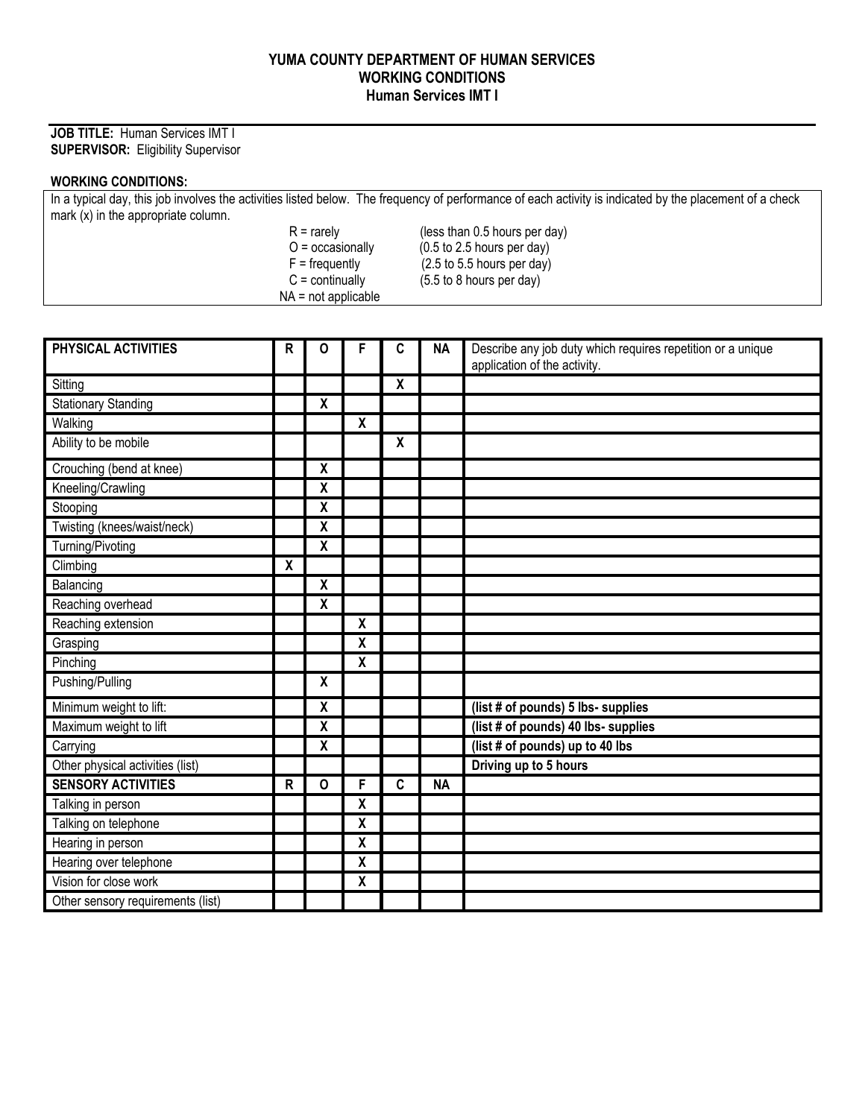# **YUMA COUNTY DEPARTMENT OF HUMAN SERVICES WORKING CONDITIONS Human Services IMT I**

# **JOB TITLE:** Human Services IMT I **SUPERVISOR:** Eligibility Supervisor

# **WORKING CONDITIONS:**

| In a typical day, this job involves the activities listed below. The frequency of performance of each activity is indicated by the placement of a check |                       |                                               |  |  |  |  |  |
|---------------------------------------------------------------------------------------------------------------------------------------------------------|-----------------------|-----------------------------------------------|--|--|--|--|--|
| mark $(x)$ in the appropriate column.                                                                                                                   |                       |                                               |  |  |  |  |  |
|                                                                                                                                                         | $R =$ rarely          | (less than 0.5 hours per day)                 |  |  |  |  |  |
|                                                                                                                                                         | $O =$ occasionally    | $(0.5 \text{ to } 2.5 \text{ hours per day})$ |  |  |  |  |  |
|                                                                                                                                                         | $F =$ frequently      | $(2.5 \text{ to } 5.5 \text{ hours per day})$ |  |  |  |  |  |
|                                                                                                                                                         | $C =$ continually     | $(5.5 \text{ to } 8 \text{ hours per day})$   |  |  |  |  |  |
|                                                                                                                                                         | $NA = not applicable$ |                                               |  |  |  |  |  |

| PHYSICAL ACTIVITIES               | $\mathsf R$        | $\mathbf 0$               | F                       | C                | <b>NA</b> | Describe any job duty which requires repetition or a unique |
|-----------------------------------|--------------------|---------------------------|-------------------------|------------------|-----------|-------------------------------------------------------------|
|                                   |                    |                           |                         |                  |           | application of the activity.                                |
| Sitting                           |                    |                           |                         | $\boldsymbol{X}$ |           |                                                             |
| <b>Stationary Standing</b>        |                    | X                         |                         |                  |           |                                                             |
| Walking                           |                    |                           | $\overline{\mathbf{X}}$ |                  |           |                                                             |
| Ability to be mobile              |                    |                           |                         | X                |           |                                                             |
| Crouching (bend at knee)          |                    | $\pmb{\mathsf{X}}$        |                         |                  |           |                                                             |
| Kneeling/Crawling                 |                    | $\pmb{\mathsf{X}}$        |                         |                  |           |                                                             |
| Stooping                          |                    | $\pmb{\mathsf{X}}$        |                         |                  |           |                                                             |
| Twisting (knees/waist/neck)       |                    | χ                         |                         |                  |           |                                                             |
| Turning/Pivoting                  |                    | $\boldsymbol{\mathsf{X}}$ |                         |                  |           |                                                             |
| Climbing                          | $\pmb{\mathsf{X}}$ |                           |                         |                  |           |                                                             |
| Balancing                         |                    | $\pmb{\mathsf{X}}$        |                         |                  |           |                                                             |
| Reaching overhead                 |                    | $\boldsymbol{\mathsf{X}}$ |                         |                  |           |                                                             |
| Reaching extension                |                    |                           | X                       |                  |           |                                                             |
| Grasping                          |                    |                           | X                       |                  |           |                                                             |
| Pinching                          |                    |                           | $\pmb{\mathsf{X}}$      |                  |           |                                                             |
| Pushing/Pulling                   |                    | $\boldsymbol{\mathsf{X}}$ |                         |                  |           |                                                             |
| Minimum weight to lift:           |                    | $\pmb{\mathsf{X}}$        |                         |                  |           | (list # of pounds) 5 lbs- supplies                          |
| Maximum weight to lift            |                    | $\pmb{\mathsf{X}}$        |                         |                  |           | (list # of pounds) 40 lbs- supplies                         |
| Carrying                          |                    | $\pmb{\chi}$              |                         |                  |           | (list # of pounds) up to 40 lbs                             |
| Other physical activities (list)  |                    |                           |                         |                  |           | Driving up to 5 hours                                       |
| <b>SENSORY ACTIVITIES</b>         | ${\sf R}$          | $\overline{\mathbf{o}}$   | F                       | $\overline{c}$   | <b>NA</b> |                                                             |
| Talking in person                 |                    |                           | $\overline{\mathbf{X}}$ |                  |           |                                                             |
| Talking on telephone              |                    |                           | $\pmb{\mathsf{X}}$      |                  |           |                                                             |
| Hearing in person                 |                    |                           | X                       |                  |           |                                                             |
| Hearing over telephone            |                    |                           | χ                       |                  |           |                                                             |
| Vision for close work             |                    |                           | χ                       |                  |           |                                                             |
| Other sensory requirements (list) |                    |                           |                         |                  |           |                                                             |